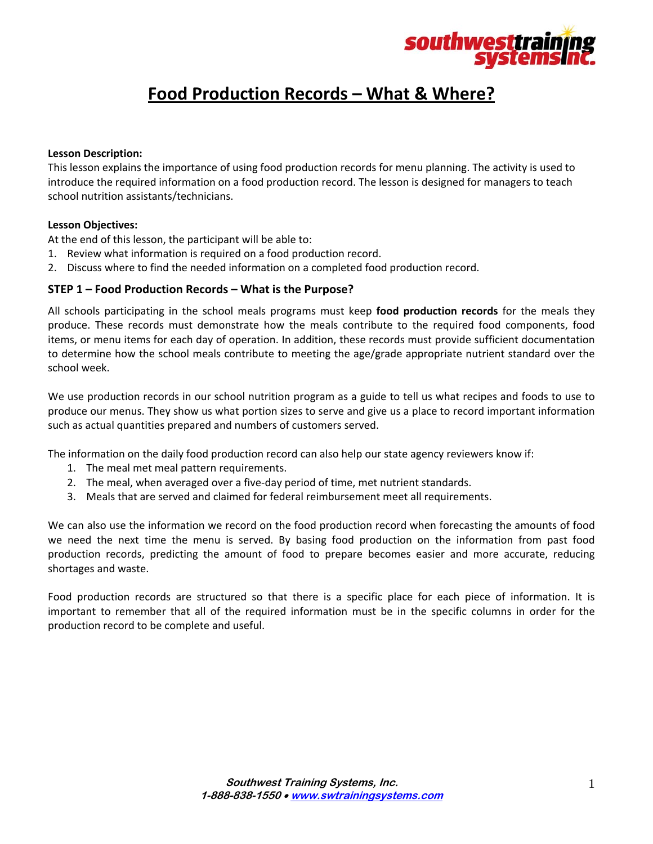

# **Food Production Records – What & Where?**

#### **Lesson Description:**

This lesson explains the importance of using food production records for menu planning. The activity is used to introduce the required information on a food production record. The lesson is designed for managers to teach school nutrition assistants/technicians.

#### **Lesson Objectives:**

At the end of this lesson, the participant will be able to:

- 1. Review what information is required on a food production record.
- 2. Discuss where to find the needed information on a completed food production record.

## **STEP 1 – Food Production Records – What is the Purpose?**

All schools participating in the school meals programs must keep **food production records** for the meals they produce. These records must demonstrate how the meals contribute to the required food components, food items, or menu items for each day of operation. In addition, these records must provide sufficient documentation to determine how the school meals contribute to meeting the age/grade appropriate nutrient standard over the school week.

We use production records in our school nutrition program as a guide to tell us what recipes and foods to use to produce our menus. They show us what portion sizes to serve and give us a place to record important information such as actual quantities prepared and numbers of customers served.

The information on the daily food production record can also help our state agency reviewers know if:

- 1. The meal met meal pattern requirements.
- 2. The meal, when averaged over a five-day period of time, met nutrient standards.
- 3. Meals that are served and claimed for federal reimbursement meet all requirements.

We can also use the information we record on the food production record when forecasting the amounts of food we need the next time the menu is served. By basing food production on the information from past food production records, predicting the amount of food to prepare becomes easier and more accurate, reducing shortages and waste.

Food production records are structured so that there is a specific place for each piece of information. It is important to remember that all of the required information must be in the specific columns in order for the production record to be complete and useful.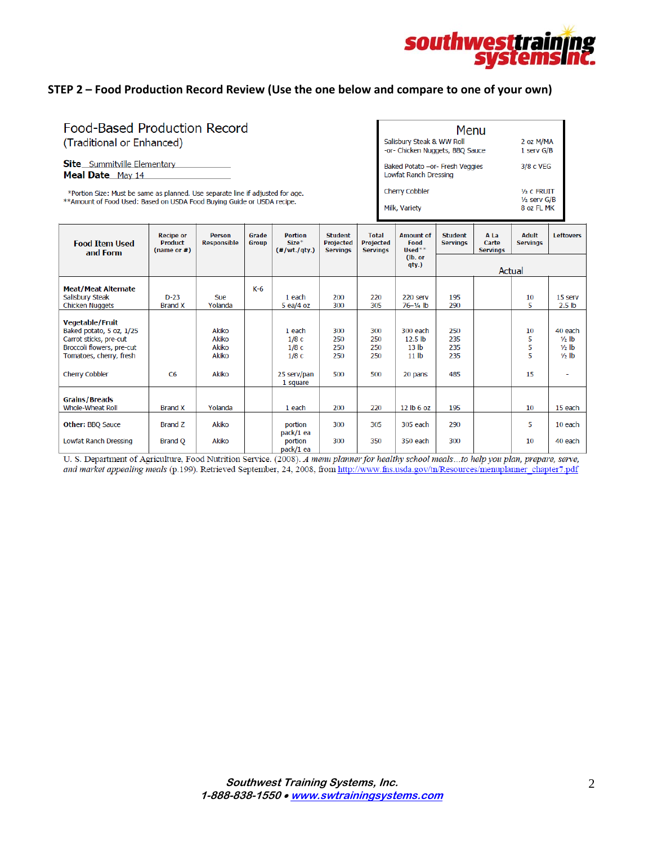

# **STEP 2 – Food Production Record Review (Use the one below and compare to one of your own)**

# Food-Based Production Record (Traditional or Enhanced)

Site\_Summitville Elementary Meal Date\_May 14

\*Portion Size: Must be same as planned. Use separate line if adjusted for age.<br>\*\*Amount of Food Used: Based on USDA Food Buying Guide or USDA recipe.

| Menu                                                     |                                |
|----------------------------------------------------------|--------------------------------|
| Salisbury Steak & WW Roll                                | 2 oz M/MA                      |
| or- Chicken Nuggets, BBQ Sauce                           | 1 serv G/B                     |
| Baked Potato -or- Fresh Veggies<br>Lowfat Ranch Dressing | 3/8 c VEG                      |
| <b>Cherry Cobbler</b>                                    | $1/2$ c FRUIT                  |
| Milk, Variety                                            | $1/2$ serv $G/B$<br>8 oz FL MK |

| <b>Food Item Used</b><br>and Form                                                                                                                      | <b>Recipe or</b><br><b>Product</b><br>(name or #) | <b>Person</b><br><b>Responsible</b>              | Grade<br><b>Group</b> | <b>Portion</b><br>$Size*$<br>$(*/wt./qty.)$               | <b>Student</b><br><b>Projected</b><br><b>Servings</b> | <b>Total</b><br>Projected<br><b>Servings</b> | <b>Amount of</b><br>Food<br>$Used**$                                              | <b>Student</b><br><b>Servings</b> | A La<br>Carte<br><b>Servings</b> | Adult<br><b>Servings</b> | <b>Leftovers</b>                                            |
|--------------------------------------------------------------------------------------------------------------------------------------------------------|---------------------------------------------------|--------------------------------------------------|-----------------------|-----------------------------------------------------------|-------------------------------------------------------|----------------------------------------------|-----------------------------------------------------------------------------------|-----------------------------------|----------------------------------|--------------------------|-------------------------------------------------------------|
|                                                                                                                                                        |                                                   |                                                  |                       |                                                           |                                                       |                                              | (lb. or<br>qty.)                                                                  | Actual                            |                                  |                          |                                                             |
| <b>Meat/Meat Alternate</b><br>Salisbury Steak<br>Chicken Nuggets                                                                                       | $D-23$<br><b>Brand X</b>                          | Sue<br>Yolanda                                   | K-6                   | 1 each<br>$5$ ea/4 oz                                     | 200<br>300                                            | 220<br>305                                   | 220 serv<br>$76 - 1/4$ lb                                                         | 195<br>290                        |                                  | 10<br>5                  | 15 serv<br>2.5 <sub>lb</sub>                                |
| <b>Vegetable/Fruit</b><br>Baked potato, 5 oz, 1/25<br>Carrot sticks, pre-cut<br>Broccoli flowers, pre-cut<br>Tomatoes, cherry, fresh<br>Cherry Cobbler | C <sub>6</sub>                                    | Akiko<br>Akiko<br>Akiko<br><b>Akiko</b><br>Akiko |                       | 1 each<br>1/8c<br>1/8c<br>1/8c<br>25 serv/pan<br>1 square | 300<br>250<br>250<br>250<br>500                       | 300<br>250<br>250<br>250<br>500              | 300 each<br>12.5 <sub>lb</sub><br>13 <sub>lb</sub><br>11 <sub>lb</sub><br>20 pans | 250<br>235<br>235<br>235<br>485   |                                  | 10<br>5<br>5<br>5<br>15  | 40 each<br>$\frac{1}{2}$ lb<br>$1/2$ lb<br>$\frac{1}{2}$ lb |
| <b>Grains/Breads</b><br>Whole-Wheat Roll                                                                                                               | <b>Brand X</b>                                    | Yolanda                                          |                       | 1 each                                                    | 200                                                   | 220                                          | 12 lb 6 oz                                                                        | 195                               |                                  | 10                       | 15 each                                                     |
| <b>Other: BBQ Sauce</b><br>Lowfat Ranch Dressing                                                                                                       | Brand Z<br><b>Brand Q</b>                         | Akiko<br>Akiko                                   |                       | portion<br>pack/1 ea<br>portion<br>pack/1 ea              | 300<br>300                                            | 305<br>350                                   | 305 each<br>350 each                                                              | 290<br>300                        |                                  | 5<br>10                  | 10 each<br>40 each                                          |

U. S. Department of Agriculture, Food Nutrition Service. (2008). A menu planner for healthy school meals ...to help you plan, prepare, serve, and market appealing meals (p.199). Retrieved September, 24, 2008, from http://www.fns.usda.gov/tn/Resources/menuplanner\_chapter7.pdf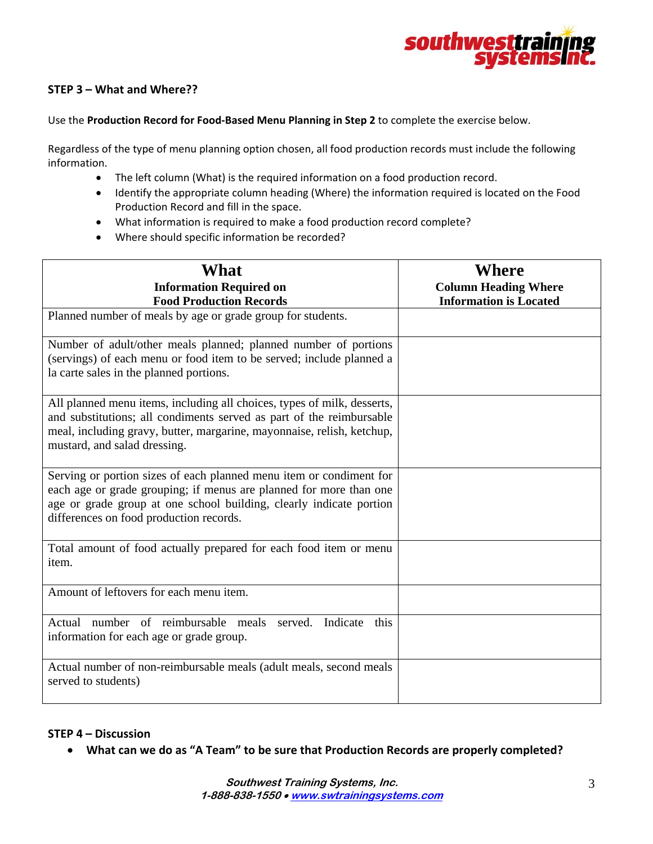

# **STEP 3 – What and Where??**

#### Use the **Production Record for Food‐Based Menu Planning in Step 2** to complete the exercise below.

Regardless of the type of menu planning option chosen, all food production records must include the following information.

- The left column (What) is the required information on a food production record.
- Identify the appropriate column heading (Where) the information required is located on the Food Production Record and fill in the space.
- What information is required to make a food production record complete?
- Where should specific information be recorded?

| <b>What</b><br><b>Information Required on</b><br><b>Food Production Records</b>                                                                                                                                                                             | Where<br><b>Column Heading Where</b><br><b>Information is Located</b> |
|-------------------------------------------------------------------------------------------------------------------------------------------------------------------------------------------------------------------------------------------------------------|-----------------------------------------------------------------------|
| Planned number of meals by age or grade group for students.                                                                                                                                                                                                 |                                                                       |
| Number of adult/other meals planned; planned number of portions<br>(servings) of each menu or food item to be served; include planned a<br>la carte sales in the planned portions.                                                                          |                                                                       |
| All planned menu items, including all choices, types of milk, desserts,<br>and substitutions; all condiments served as part of the reimbursable<br>meal, including gravy, butter, margarine, mayonnaise, relish, ketchup,<br>mustard, and salad dressing.   |                                                                       |
| Serving or portion sizes of each planned menu item or condiment for<br>each age or grade grouping; if menus are planned for more than one<br>age or grade group at one school building, clearly indicate portion<br>differences on food production records. |                                                                       |
| Total amount of food actually prepared for each food item or menu<br>item.                                                                                                                                                                                  |                                                                       |
| Amount of leftovers for each menu item.                                                                                                                                                                                                                     |                                                                       |
| Actual number of reimbursable meals served.<br>Indicate<br>this<br>information for each age or grade group.                                                                                                                                                 |                                                                       |
| Actual number of non-reimbursable meals (adult meals, second meals<br>served to students)                                                                                                                                                                   |                                                                       |

## **STEP 4 – Discussion**

**What can we do as "A Team" to be sure that Production Records are properly completed?**